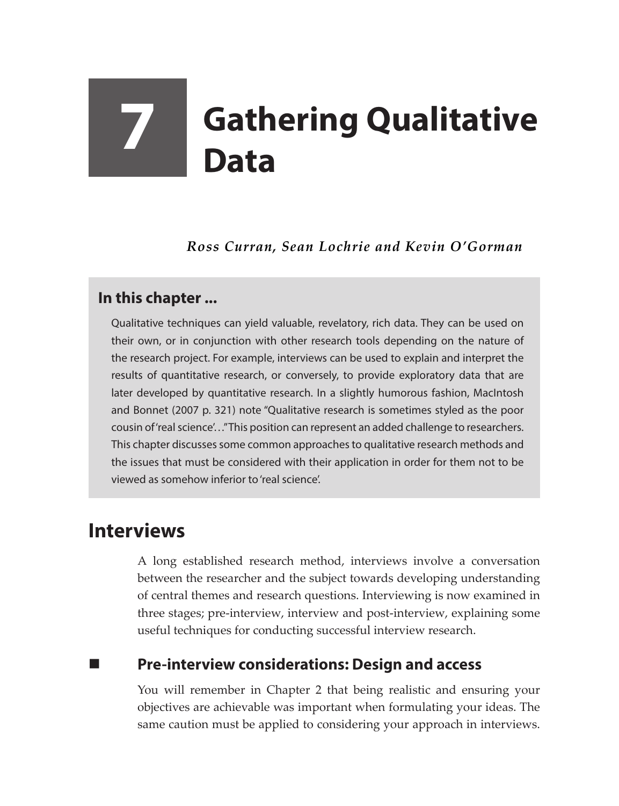# **7 Gathering Qualitative Data**

*Ross Curran, Sean Lochrie and Kevin O'Gorman*

### **In this chapter ...**

Qualitative techniques can yield valuable, revelatory, rich data. They can be used on their own, or in conjunction with other research tools depending on the nature of the research project. For example, interviews can be used to explain and interpret the results of quantitative research, or conversely, to provide exploratory data that are later developed by quantitative research. In a slightly humorous fashion, MacIntosh and Bonnet (2007 p. 321) note "Qualitative research is sometimes styled as the poor cousin of 'real science'…" This position can represent an added challenge to researchers. This chapter discusses some common approaches to qualitative research methods and the issues that must be considered with their application in order for them not to be viewed as somehow inferior to 'real science'.

## **Interviews**

A long established research method, interviews involve a conversation between the researcher and the subject towards developing understanding of central themes and research questions. Interviewing is now examined in three stages; pre-interview, interview and post-interview, explaining some useful techniques for conducting successful interview research.

### **Pre-interview considerations: Design and access**

You will remember in Chapter 2 that being realistic and ensuring your objectives are achievable was important when formulating your ideas. The same caution must be applied to considering your approach in interviews.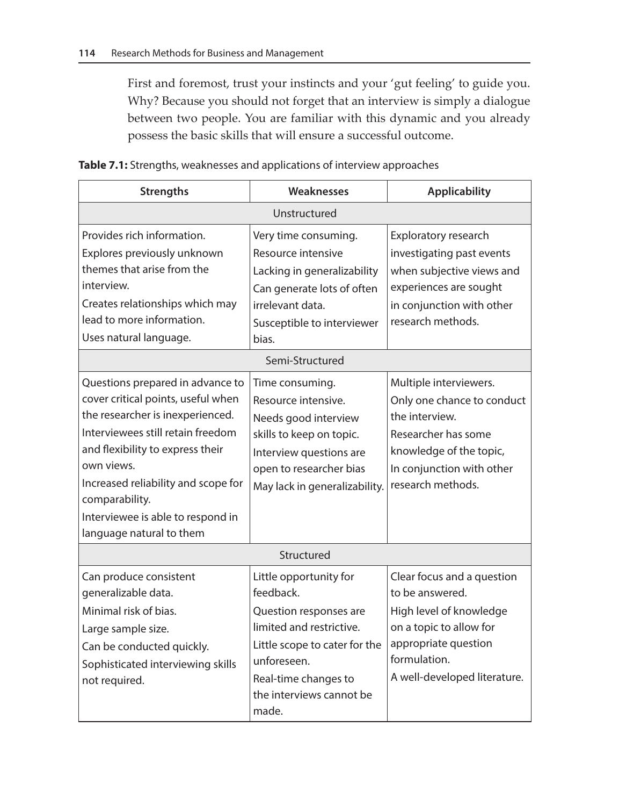First and foremost, trust your instincts and your 'gut feeling' to guide you. Why? Because you should not forget that an interview is simply a dialogue between two people. You are familiar with this dynamic and you already possess the basic skills that will ensure a successful outcome.

| <b>Strengths</b>                                                                                                                                                                                                                                                                                                            | <b>Weaknesses</b>                                                                                                                                                                                      | <b>Applicability</b>                                                                                                                                                        |  |  |
|-----------------------------------------------------------------------------------------------------------------------------------------------------------------------------------------------------------------------------------------------------------------------------------------------------------------------------|--------------------------------------------------------------------------------------------------------------------------------------------------------------------------------------------------------|-----------------------------------------------------------------------------------------------------------------------------------------------------------------------------|--|--|
| Unstructured                                                                                                                                                                                                                                                                                                                |                                                                                                                                                                                                        |                                                                                                                                                                             |  |  |
| Provides rich information.<br>Explores previously unknown<br>themes that arise from the<br>interview.<br>Creates relationships which may<br>lead to more information.<br>Uses natural language.                                                                                                                             | Very time consuming.<br>Resource intensive<br>Lacking in generalizability<br>Can generate lots of often<br>irrelevant data.<br>Susceptible to interviewer<br>bias.                                     | Exploratory research<br>investigating past events<br>when subjective views and<br>experiences are sought<br>in conjunction with other<br>research methods.                  |  |  |
| Semi-Structured                                                                                                                                                                                                                                                                                                             |                                                                                                                                                                                                        |                                                                                                                                                                             |  |  |
| Questions prepared in advance to<br>cover critical points, useful when<br>the researcher is inexperienced.<br>Interviewees still retain freedom<br>and flexibility to express their<br>own views.<br>Increased reliability and scope for<br>comparability.<br>Interviewee is able to respond in<br>language natural to them | Time consuming.<br>Resource intensive.<br>Needs good interview<br>skills to keep on topic.<br>Interview questions are<br>open to researcher bias<br>May lack in generalizability.                      | Multiple interviewers.<br>Only one chance to conduct<br>the interview.<br>Researcher has some<br>knowledge of the topic,<br>In conjunction with other<br>research methods.  |  |  |
| Structured                                                                                                                                                                                                                                                                                                                  |                                                                                                                                                                                                        |                                                                                                                                                                             |  |  |
| Can produce consistent<br>generalizable data.<br>Minimal risk of bias.<br>Large sample size.<br>Can be conducted quickly.<br>Sophisticated interviewing skills<br>not required.                                                                                                                                             | Little opportunity for<br>feedback.<br>Question responses are<br>limited and restrictive.<br>Little scope to cater for the<br>unforeseen.<br>Real-time changes to<br>the interviews cannot be<br>made. | Clear focus and a question<br>to be answered.<br>High level of knowledge<br>on a topic to allow for<br>appropriate question<br>formulation.<br>A well-developed literature. |  |  |

**Table 7.1:** Strengths, weaknesses and applications of interview approaches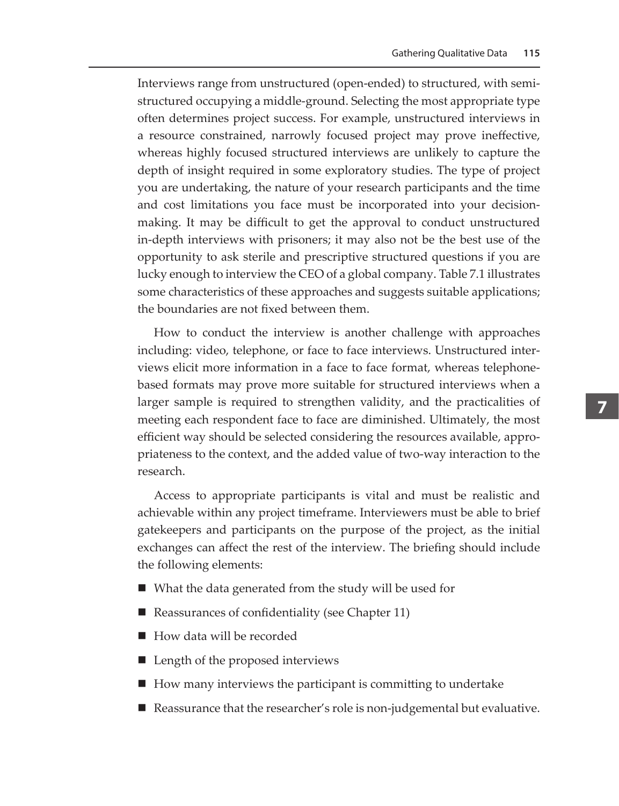Interviews range from unstructured (open-ended) to structured, with semistructured occupying a middle-ground. Selecting the most appropriate type often determines project success. For example, unstructured interviews in a resource constrained, narrowly focused project may prove ineffective, whereas highly focused structured interviews are unlikely to capture the depth of insight required in some exploratory studies. The type of project you are undertaking, the nature of your research participants and the time and cost limitations you face must be incorporated into your decisionmaking. It may be difficult to get the approval to conduct unstructured in-depth interviews with prisoners; it may also not be the best use of the opportunity to ask sterile and prescriptive structured questions if you are lucky enough to interview the CEO of a global company. Table 7.1 illustrates some characteristics of these approaches and suggests suitable applications; the boundaries are not fixed between them.

How to conduct the interview is another challenge with approaches including: video, telephone, or face to face interviews. Unstructured interviews elicit more information in a face to face format, whereas telephonebased formats may prove more suitable for structured interviews when a larger sample is required to strengthen validity, and the practicalities of meeting each respondent face to face are diminished. Ultimately, the most efficient way should be selected considering the resources available, appropriateness to the context, and the added value of two-way interaction to the research.

Access to appropriate participants is vital and must be realistic and achievable within any project timeframe. Interviewers must be able to brief gatekeepers and participants on the purpose of the project, as the initial exchanges can affect the rest of the interview. The briefing should include the following elements:

- What the data generated from the study will be used for
- Reassurances of confidentiality (see Chapter 11)
- How data will be recorded
- Length of the proposed interviews
- How many interviews the participant is committing to undertake
- Reassurance that the researcher's role is non-judgemental but evaluative.